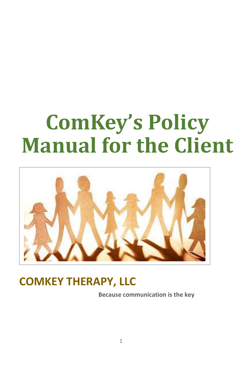# **ComKey's Policy Manual for the Client**



### **COMKEY THERAPY, LLC**

 **Because communication is the key**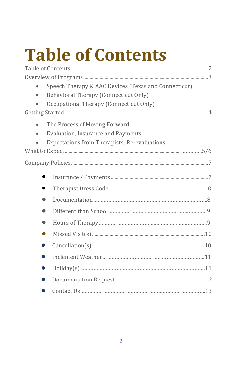# **Table of Contents**

| Speech Therapy & AAC Devices (Texas and Connecticut) |  |
|------------------------------------------------------|--|
| Behavioral Therapy (Connecticut Only)                |  |
| Occupational Therapy (Connecticut Only)              |  |
|                                                      |  |
| The Process of Moving Forward<br>$\bullet$           |  |
| Evaluation, Insurance and Payments                   |  |
| Expectations from Therapists; Re-evaluations         |  |
|                                                      |  |
|                                                      |  |
|                                                      |  |
|                                                      |  |
| $\bullet$                                            |  |
| $\bullet$                                            |  |
| 0                                                    |  |
| $\bullet$                                            |  |
| 0                                                    |  |
| D                                                    |  |
| D                                                    |  |
| D                                                    |  |
|                                                      |  |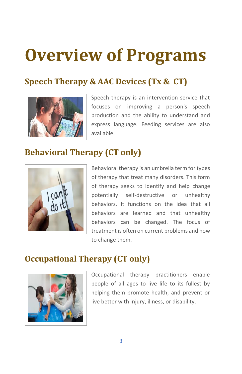## **Overview of Programs**

#### **Speech Therapy & AAC Devices (Tx & CT)**



Speech therapy is an intervention service that focuses on improving a person's speech production and the ability to understand and express language. Feeding services are also available.

#### **Behavioral Therapy (CT only)**



Behavioral therapy is an umbrella term for types of therapy that treat many disorders. This form of therapy seeks to identify and help change potentially self-destructive or unhealthy behaviors. It functions on the idea that all behaviors are learned and that unhealthy behaviors can be changed. The focus of treatment is often on current problems and how to change them.

#### **Occupational Therapy (CT only)**



Occupational therapy practitioners enable people of all ages to live life to its fullest by helping them promote health, and prevent or live better with injury, illness, or disability.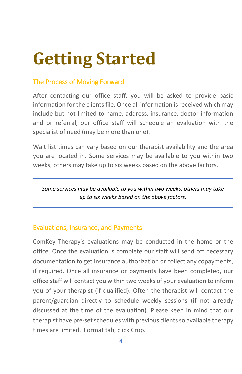## **Getting Started**

#### The Process of Moving Forward

After contacting our office staff, you will be asked to provide basic information for the clients file. Once all information is received which may include but not limited to name, address, insurance, doctor information and or referral, our office staff will schedule an evaluation with the specialist of need (may be more than one).

Wait list times can vary based on our therapist availability and the area you are located in. Some services may be available to you within two weeks, others may take up to six weeks based on the above factors.

*Some services may be available to you within two weeks, others may take up to six weeks based on the above factors.*

#### Evaluations, Insurance, and Payments

ComKey Therapy's evaluations may be conducted in the home or the office. Once the evaluation is complete our staff will send off necessary documentation to get insurance authorization or collect any copayments, if required. Once all insurance or payments have been completed, our office staff will contact you within two weeks of your evaluation to inform you of your therapist (if qualified). Often the therapist will contact the parent/guardian directly to schedule weekly sessions (if not already discussed at the time of the evaluation). Please keep in mind that our therapist have pre-set schedules with previous clients so available therapy times are limited. Format tab, click Crop.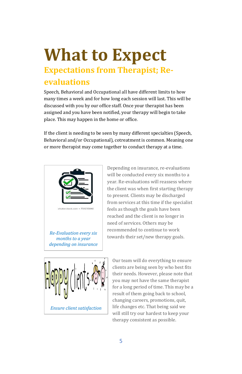### **What to Expect Expectations from Therapist; Reevaluations**

Speech, Behavioral and Occupational all have different limits to how many times a week and for how long each session will last. This will be discussed with you by our office staff. Once your therapist has been assigned and you have been notified, your therapy will begin to take place. This may happen in the home or office.

If the client is needing to be seen by many different specialties (Speech, Behavioral and/or Occupational), cotreatment is common. Meaning one or more therapist may come together to conduct therapy at a time.



*Re-Evaluation every six months to a year depending on insurance*

Depending on insurance, re-evaluations will be conducted every six months to a year. Re-evaluations will reassess where the client was when first starting therapy to present. Clients may be discharged from services at this time if the specialist feels as though the goals have been reached and the client is no longer in need of services. Others may be recommended to continue to work towards their set/new therapy goals.



Our team will do everything to ensure clients are being seen by who best fits their needs. However, please note that you may not have the same therapist for a long period of time. This may be a result of them going back to school, changing careers, promotions, quit, life changes etc. That being said we will still try our hardest to keep your therapy consistent as possible.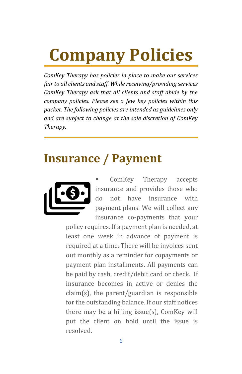## **Company Policies**

*ComKey Therapy has policies in place to make our services fair to all clients and staff. While receiving/providing services ComKey Therapy ask that all clients and staff abide by the company policies. Please see a few key policies within this packet. The following policies are intended as guidelines only and are subject to change at the sole discretion of ComKey Therapy.* 

#### **Insurance / Payment**



ComKey Therapy accepts insurance and provides those who do not have insurance with payment plans. We will collect any insurance co-payments that your

policy requires. If a payment plan is needed, at least one week in advance of payment is required at a time. There will be invoices sent out monthly as a reminder for copayments or payment plan installments. All payments can be paid by cash, credit/debit card or check.If insurance becomes in active or denies the claim(s), the parent/guardian is responsible for the outstanding balance. If our staff notices there may be a billing issue(s), ComKey will put the client on hold until the issue is resolved.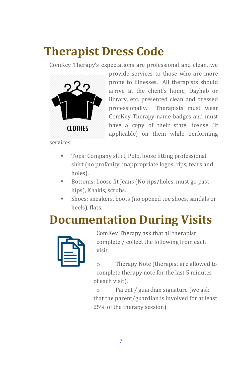### **Therapist Dress Code**

ComKey Therapy's expectations are professional and clean, we



provide services to those who are more prone to illnesses. All therapists should arrive at the client's home, Dayhab or library, etc. presented clean and dressed professionally. Therapists must wear ComKey Therapy name badges and must have a copy of their state license (if applicable) on them while performing

services.

- Tops: Company shirt, Polo, loose fitting professional shirt (no profanity, inappropriate logos, rips, tears and holes).
- Bottoms: Loose fit Jeans (No rips/holes, must go past hips), Khakis, scrubs.
- **EXECUTE:** Shoes: sneakers, boots (no opened toe shoes, sandals or heels), flats.

### **Documentation During Visits**



ComKey Therapy ask that all therapist complete / collect the following from each visit:

o Therapy Note (therapist are allowed to complete therapy note for the last 5 minutes of each visit).

o Parent / guardian signature (we ask that the parent/guardian is involved for at least 25% of the therapy session)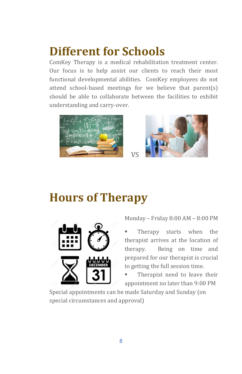### **Different for Schools**

ComKey Therapy is a medical rehabilitation treatment center. Our focus is to help assist our clients to reach their most functional developmental abilities. ComKey employees do not attend school-based meetings for we believe that parent(s) should be able to collaborate between the facilities to exhibit understanding and carry-over.



#### **Hours of Therapy**



Monday – Friday 8:00 AM – 8:00 PM

Therapy starts when the therapist arrives at the location of therapy. Being on time and prepared for our therapist is crucial to getting the full session time.

Therapist need to leave their appointment no later than 9:00 PM

Special appointments can be made Saturday and Sunday (on special circumstances and approval)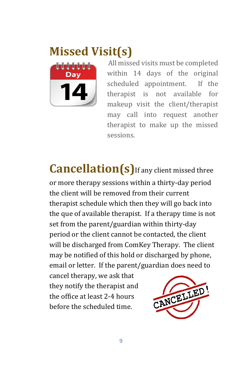### **Missed Visit(s)**



 All missed visits must be completed within 14 days of the original scheduled appointment. If the therapist is not available for makeup visit the client/therapist may call into request another therapist to make up the missed sessions.

**Cancellation(s)** If any client missed three

or more therapy sessions within a thirty-day period the client will be removed from their current therapist schedule which then they will go back into the que of available therapist. If a therapy time is not set from the parent/guardian within thirty-day period or the client cannot be contacted, the client will be discharged from ComKey Therapy. The client may be notified of this hold or discharged by phone, email or letter. If the parent/guardian does need to

cancel therapy, we ask that they notify the therapist and the office at least 2-4 hours before the scheduled time.

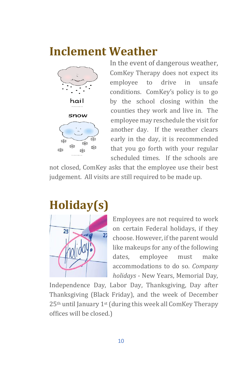#### **Inclement Weather**



In the event of dangerous weather, ComKey Therapy does not expect its employee to drive in unsafe conditions. ComKey's policy is to go by the school closing within the counties they work and live in. The employee may reschedule the visit for another day. If the weather clears early in the day, it is recommended that you go forth with your regular scheduled times. If the schools are

not closed, ComKey asks that the employee use their best judgement. All visits are still required to be made up.



Employees are not required to work on certain Federal holidays, if they choose. However, if the parent would like makeups for any of the following dates, employee must make accommodations to do so. *Company holidays* - New Years, Memorial Day,

Independence Day, Labor Day, Thanksgiving, Day after Thanksgiving (Black Friday), and the week of December 25th until January 1st (during this week all ComKey Therapy offices will be closed.)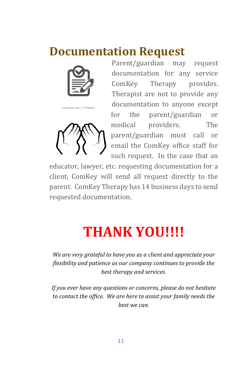#### **Documentation Request**



shutterstock.com . 1277941531



Parent/guardian may request documentation for any service ComKey Therapy provides. Therapist are not to provide any documentation to anyone except for the parent/guardian or medical providers. The parent/guardian must call or email the ComKey office staff for such request. In the case that an

educator, lawyer, etc. requesting documentation for a client, ComKey will send all request directly to the parent. ComKey Therapy has 14 business days to send requested documentation.

## **THANK YOU!!!!**

*We are very grateful to have you as a client and appreciate your flexibility and patience as our company continues to provide the best therapy and services.*

*If you ever have any questions or concerns, please do not hesitate to contact the office. We are here to assist your family needs the best we can.*